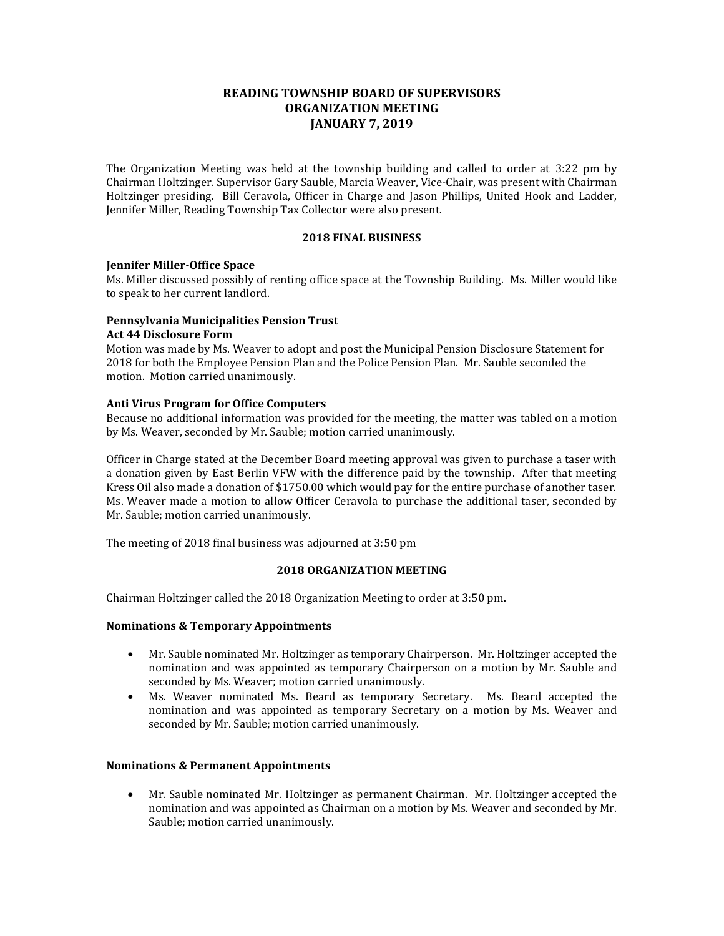# **READING TOWNSHIP BOARD OF SUPERVISORS ORGANIZATION MEETING JANUARY 7, 2019**

The Organization Meeting was held at the township building and called to order at 3:22 pm by Chairman Holtzinger. Supervisor Gary Sauble, Marcia Weaver, Vice-Chair, was present with Chairman Holtzinger presiding. Bill Ceravola, Officer in Charge and Jason Phillips, United Hook and Ladder, Jennifer Miller, Reading Township Tax Collector were also present.

### **2018 FINAL BUSINESS**

## **Jennifer Miller-Office Space**

Ms. Miller discussed possibly of renting office space at the Township Building. Ms. Miller would like to speak to her current landlord.

# **Pennsylvania Municipalities Pension Trust Act 44 Disclosure Form**

Motion was made by Ms. Weaver to adopt and post the Municipal Pension Disclosure Statement for 2018 for both the Employee Pension Plan and the Police Pension Plan. Mr. Sauble seconded the motion. Motion carried unanimously.

### **Anti Virus Program for Office Computers**

Because no additional information was provided for the meeting, the matter was tabled on a motion by Ms. Weaver, seconded by Mr. Sauble; motion carried unanimously.

Officer in Charge stated at the December Board meeting approval was given to purchase a taser with a donation given by East Berlin VFW with the difference paid by the township. After that meeting Kress Oil also made a donation of \$1750.00 which would pay for the entire purchase of another taser. Ms. Weaver made a motion to allow Officer Ceravola to purchase the additional taser, seconded by Mr. Sauble; motion carried unanimously.

The meeting of 2018 final business was adjourned at 3:50 pm

#### **2018 ORGANIZATION MEETING**

Chairman Holtzinger called the 2018 Organization Meeting to order at 3:50 pm.

## **Nominations & Temporary Appointments**

- Mr. Sauble nominated Mr. Holtzinger as temporary Chairperson. Mr. Holtzinger accepted the nomination and was appointed as temporary Chairperson on a motion by Mr. Sauble and seconded by Ms. Weaver; motion carried unanimously.
- Ms. Weaver nominated Ms. Beard as temporary Secretary. Ms. Beard accepted the nomination and was appointed as temporary Secretary on a motion by Ms. Weaver and seconded by Mr. Sauble; motion carried unanimously.

#### **Nominations & Permanent Appointments**

• Mr. Sauble nominated Mr. Holtzinger as permanent Chairman. Mr. Holtzinger accepted the nomination and was appointed as Chairman on a motion by Ms. Weaver and seconded by Mr. Sauble; motion carried unanimously.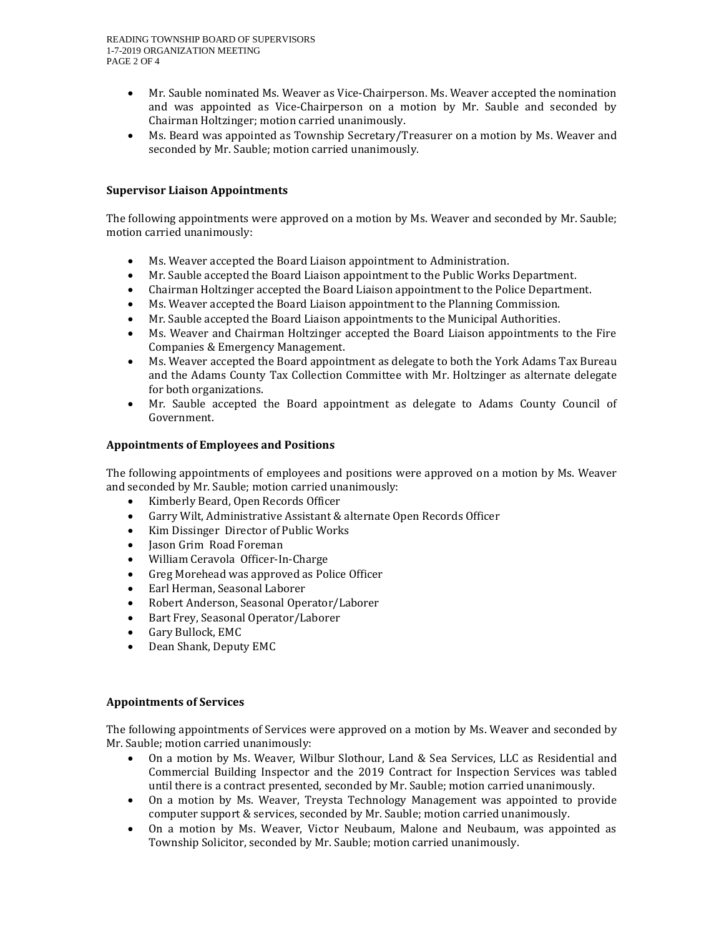- Mr. Sauble nominated Ms. Weaver as Vice-Chairperson. Ms. Weaver accepted the nomination and was appointed as Vice-Chairperson on a motion by Mr. Sauble and seconded by Chairman Holtzinger; motion carried unanimously.
- Ms. Beard was appointed as Township Secretary/Treasurer on a motion by Ms. Weaver and seconded by Mr. Sauble; motion carried unanimously.

# **Supervisor Liaison Appointments**

The following appointments were approved on a motion by Ms. Weaver and seconded by Mr. Sauble; motion carried unanimously:

- Ms. Weaver accepted the Board Liaison appointment to Administration.
- Mr. Sauble accepted the Board Liaison appointment to the Public Works Department.
- Chairman Holtzinger accepted the Board Liaison appointment to the Police Department.
- Ms. Weaver accepted the Board Liaison appointment to the Planning Commission.
- Mr. Sauble accepted the Board Liaison appointments to the Municipal Authorities.
- Ms. Weaver and Chairman Holtzinger accepted the Board Liaison appointments to the Fire Companies & Emergency Management.
- Ms. Weaver accepted the Board appointment as delegate to both the York Adams Tax Bureau and the Adams County Tax Collection Committee with Mr. Holtzinger as alternate delegate for both organizations.
- Mr. Sauble accepted the Board appointment as delegate to Adams County Council of Government.

## **Appointments of Employees and Positions**

The following appointments of employees and positions were approved on a motion by Ms. Weaver and seconded by Mr. Sauble; motion carried unanimously:

- Kimberly Beard, Open Records Officer
- Garry Wilt, Administrative Assistant & alternate Open Records Officer
- Kim Dissinger Director of Public Works
- Jason Grim Road Foreman
- William Ceravola Officer-In-Charge
- Greg Morehead was approved as Police Officer
- Earl Herman, Seasonal Laborer
- Robert Anderson, Seasonal Operator/Laborer
- Bart Frey, Seasonal Operator/Laborer
- Gary Bullock, EMC
- Dean Shank, Deputy EMC

## **Appointments of Services**

The following appointments of Services were approved on a motion by Ms. Weaver and seconded by Mr. Sauble; motion carried unanimously:

- On a motion by Ms. Weaver, Wilbur Slothour, Land & Sea Services, LLC as Residential and Commercial Building Inspector and the 2019 Contract for Inspection Services was tabled until there is a contract presented, seconded by Mr. Sauble; motion carried unanimously.
- On a motion by Ms. Weaver, Treysta Technology Management was appointed to provide computer support & services, seconded by Mr. Sauble; motion carried unanimously.
- On a motion by Ms. Weaver, Victor Neubaum, Malone and Neubaum, was appointed as Township Solicitor, seconded by Mr. Sauble; motion carried unanimously.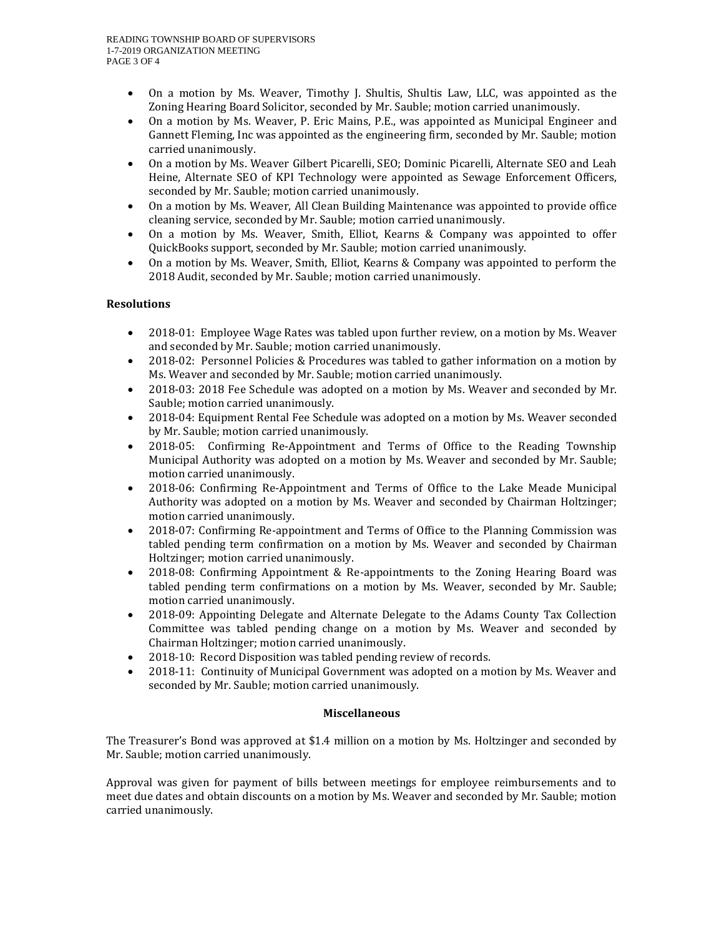- On a motion by Ms. Weaver, Timothy J. Shultis, Shultis Law, LLC, was appointed as the Zoning Hearing Board Solicitor, seconded by Mr. Sauble; motion carried unanimously.
- On a motion by Ms. Weaver, P. Eric Mains, P.E., was appointed as Municipal Engineer and Gannett Fleming, Inc was appointed as the engineering firm, seconded by Mr. Sauble; motion carried unanimously.
- On a motion by Ms. Weaver Gilbert Picarelli, SEO; Dominic Picarelli, Alternate SEO and Leah Heine, Alternate SEO of KPI Technology were appointed as Sewage Enforcement Officers, seconded by Mr. Sauble; motion carried unanimously.
- On a motion by Ms. Weaver, All Clean Building Maintenance was appointed to provide office cleaning service, seconded by Mr. Sauble; motion carried unanimously.
- On a motion by Ms. Weaver, Smith, Elliot, Kearns & Company was appointed to offer QuickBooks support, seconded by Mr. Sauble; motion carried unanimously.
- On a motion by Ms. Weaver, Smith, Elliot, Kearns & Company was appointed to perform the 2018 Audit, seconded by Mr. Sauble; motion carried unanimously.

# **Resolutions**

- 2018-01: Employee Wage Rates was tabled upon further review, on a motion by Ms. Weaver and seconded by Mr. Sauble; motion carried unanimously.
- 2018-02: Personnel Policies & Procedures was tabled to gather information on a motion by Ms. Weaver and seconded by Mr. Sauble; motion carried unanimously.
- 2018-03: 2018 Fee Schedule was adopted on a motion by Ms. Weaver and seconded by Mr. Sauble; motion carried unanimously.
- 2018-04: Equipment Rental Fee Schedule was adopted on a motion by Ms. Weaver seconded by Mr. Sauble; motion carried unanimously.
- 2018-05: Confirming Re-Appointment and Terms of Office to the Reading Township Municipal Authority was adopted on a motion by Ms. Weaver and seconded by Mr. Sauble; motion carried unanimously.
- 2018-06: Confirming Re-Appointment and Terms of Office to the Lake Meade Municipal Authority was adopted on a motion by Ms. Weaver and seconded by Chairman Holtzinger; motion carried unanimously.
- 2018-07: Confirming Re-appointment and Terms of Office to the Planning Commission was tabled pending term confirmation on a motion by Ms. Weaver and seconded by Chairman Holtzinger; motion carried unanimously.
- 2018-08: Confirming Appointment & Re-appointments to the Zoning Hearing Board was tabled pending term confirmations on a motion by Ms. Weaver, seconded by Mr. Sauble; motion carried unanimously.
- 2018-09: Appointing Delegate and Alternate Delegate to the Adams County Tax Collection Committee was tabled pending change on a motion by Ms. Weaver and seconded by Chairman Holtzinger; motion carried unanimously.
- 2018-10: Record Disposition was tabled pending review of records.
- 2018-11: Continuity of Municipal Government was adopted on a motion by Ms. Weaver and seconded by Mr. Sauble; motion carried unanimously.

## **Miscellaneous**

The Treasurer's Bond was approved at \$1.4 million on a motion by Ms. Holtzinger and seconded by Mr. Sauble; motion carried unanimously.

Approval was given for payment of bills between meetings for employee reimbursements and to meet due dates and obtain discounts on a motion by Ms. Weaver and seconded by Mr. Sauble; motion carried unanimously.